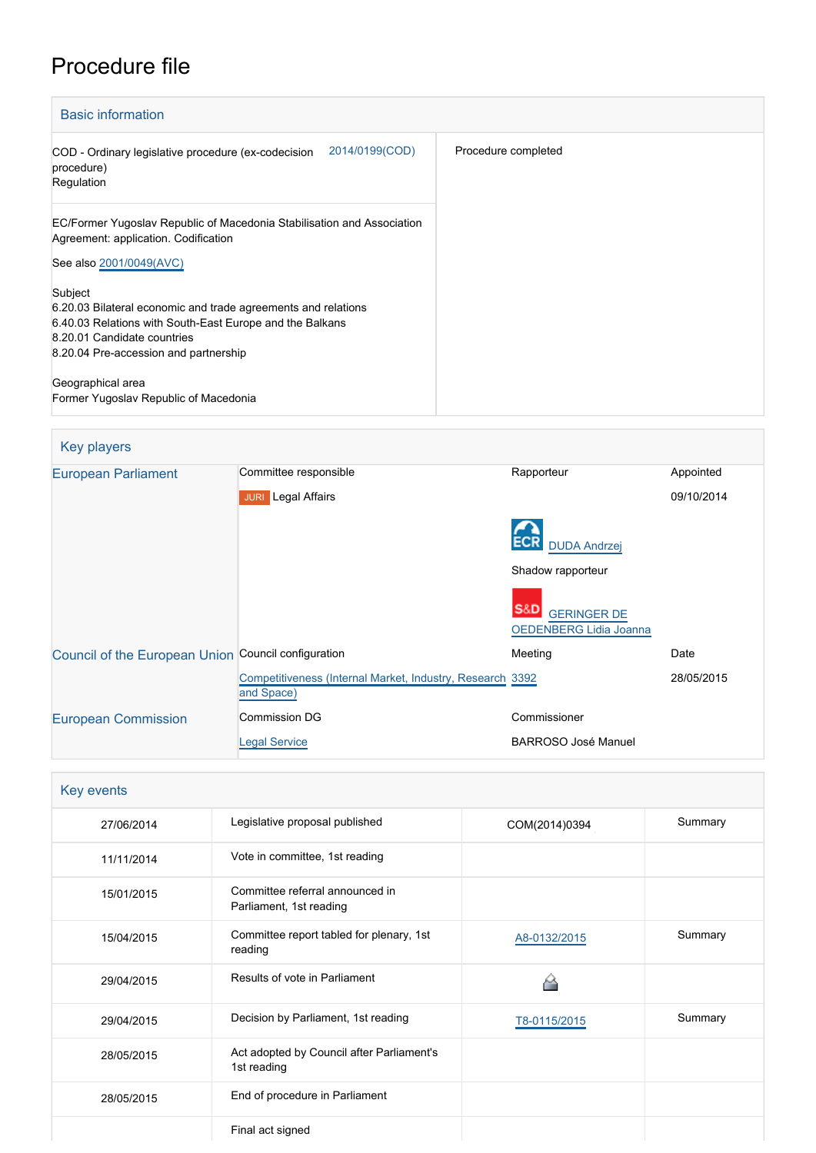# Procedure file

| <b>Basic information</b>                                                                                                                                                                                     |                     |  |
|--------------------------------------------------------------------------------------------------------------------------------------------------------------------------------------------------------------|---------------------|--|
| 2014/0199(COD)<br>COD - Ordinary legislative procedure (ex-codecision<br>procedure)<br>Regulation                                                                                                            | Procedure completed |  |
| EC/Former Yugoslav Republic of Macedonia Stabilisation and Association<br>Agreement: application. Codification                                                                                               |                     |  |
| See also 2001/0049(AVC)                                                                                                                                                                                      |                     |  |
| Subject<br>6.20.03 Bilateral economic and trade agreements and relations<br>6.40.03 Relations with South-East Europe and the Balkans<br>8.20.01 Candidate countries<br>8.20.04 Pre-accession and partnership |                     |  |
| Geographical area                                                                                                                                                                                            |                     |  |
| Former Yugoslav Republic of Macedonia                                                                                                                                                                        |                     |  |

| Key players                                         |                                                                         |                                                            |            |
|-----------------------------------------------------|-------------------------------------------------------------------------|------------------------------------------------------------|------------|
| <b>European Parliament</b>                          | Committee responsible                                                   | Rapporteur                                                 | Appointed  |
|                                                     | Legal Affairs<br><b>JURI</b>                                            |                                                            | 09/10/2014 |
|                                                     |                                                                         | <b>DUDA Andrzej</b>                                        |            |
|                                                     |                                                                         | Shadow rapporteur                                          |            |
|                                                     |                                                                         | S&D<br><b>GERINGER DE</b><br><b>OEDENBERG Lidia Joanna</b> |            |
| Council of the European Union Council configuration |                                                                         | Meeting                                                    | Date       |
|                                                     | Competitiveness (Internal Market, Industry, Research 3392<br>and Space) |                                                            | 28/05/2015 |
| <b>European Commission</b>                          | Commission DG                                                           | Commissioner                                               |            |
|                                                     | <b>Legal Service</b>                                                    | <b>BARROSO José Manuel</b>                                 |            |

| Key events |                                                            |               |         |
|------------|------------------------------------------------------------|---------------|---------|
| 27/06/2014 | Legislative proposal published                             | COM(2014)0394 | Summary |
| 11/11/2014 | Vote in committee, 1st reading                             |               |         |
| 15/01/2015 | Committee referral announced in<br>Parliament, 1st reading |               |         |
| 15/04/2015 | Committee report tabled for plenary, 1st<br>reading        | A8-0132/2015  | Summary |
| 29/04/2015 | Results of vote in Parliament                              |               |         |
| 29/04/2015 | Decision by Parliament, 1st reading                        | T8-0115/2015  | Summary |
| 28/05/2015 | Act adopted by Council after Parliament's<br>1st reading   |               |         |
| 28/05/2015 | End of procedure in Parliament                             |               |         |
|            | Final act signed                                           |               |         |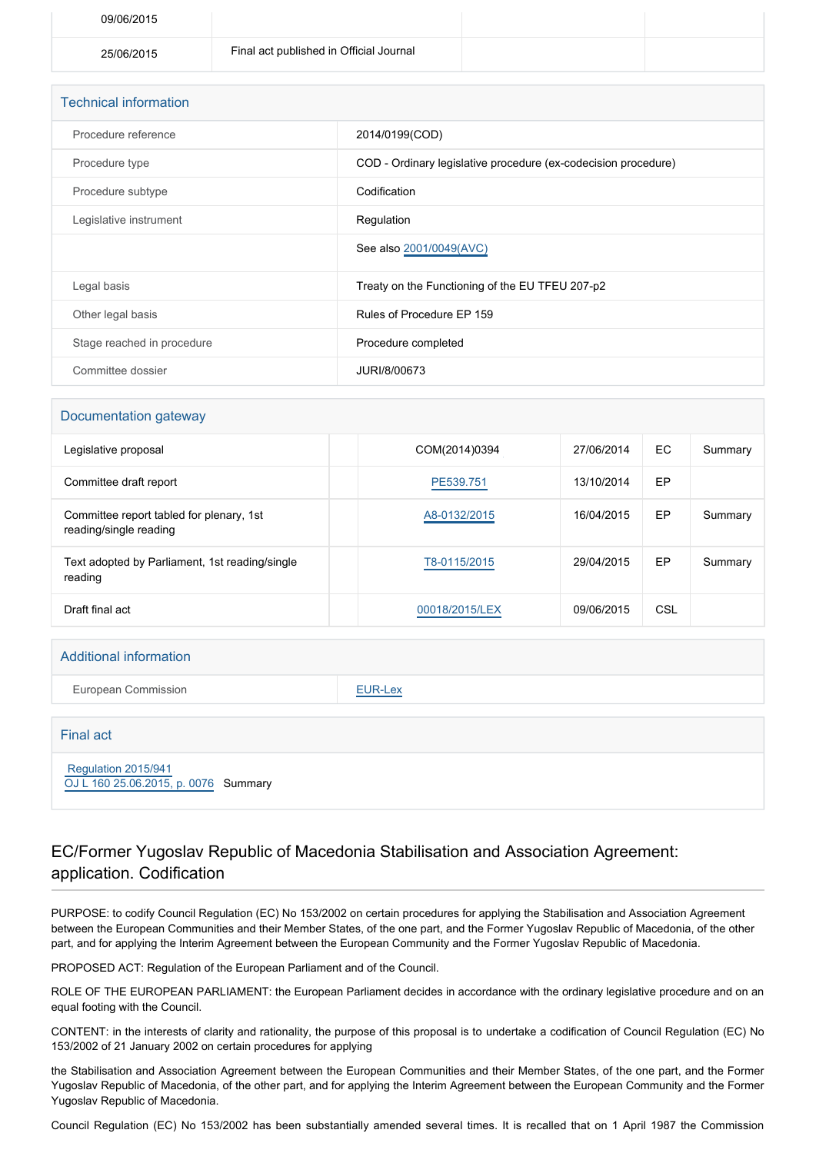| 09/06/2015 |                                         |  |
|------------|-----------------------------------------|--|
| 25/06/2015 | Final act published in Official Journal |  |

| <b>Technical information</b> |                                                                |
|------------------------------|----------------------------------------------------------------|
| Procedure reference          | 2014/0199(COD)                                                 |
| Procedure type               | COD - Ordinary legislative procedure (ex-codecision procedure) |
| Procedure subtype            | Codification                                                   |
| Legislative instrument       | Regulation                                                     |
|                              | See also 2001/0049(AVC)                                        |
| Legal basis                  | Treaty on the Functioning of the EU TFEU 207-p2                |
| Other legal basis            | Rules of Procedure EP 159                                      |
| Stage reached in procedure   | Procedure completed                                            |
| Committee dossier            | JURI/8/00673                                                   |

#### Documentation gateway

| Legislative proposal                                               | COM(2014)0394  | 27/06/2014 | EC  | Summary |
|--------------------------------------------------------------------|----------------|------------|-----|---------|
| Committee draft report                                             | PE539.751      | 13/10/2014 | EP  |         |
| Committee report tabled for plenary, 1st<br>reading/single reading | A8-0132/2015   | 16/04/2015 | EP  | Summary |
| Text adopted by Parliament, 1st reading/single<br>reading          | T8-0115/2015   | 29/04/2015 | EP  | Summary |
| Draft final act                                                    | 00018/2015/LEX | 09/06/2015 | CSL |         |

#### Additional information

European Commission **[EUR-Lex](http://ec.europa.eu/prelex/liste_resultats.cfm?CL=en&ReqId=0&DocType=COD&DocYear=2014&DocNum=0199)** 

# Final act  [Regulation 2015/941](https://eur-lex.europa.eu/smartapi/cgi/sga_doc?smartapi!celexplus!prod!CELEXnumdoc&lg=EN&numdoc=32015R0941) [OJ L 160 25.06.2015, p. 0076](https://eur-lex.europa.eu/legal-content/EN/TXT/?uri=OJ:L:2015:160:TOC) Summary

### EC/Former Yugoslav Republic of Macedonia Stabilisation and Association Agreement: application. Codification

PURPOSE: to codify Council Regulation (EC) No 153/2002 on certain procedures for applying the Stabilisation and Association Agreement between the European Communities and their Member States, of the one part, and the Former Yugoslav Republic of Macedonia, of the other part, and for applying the Interim Agreement between the European Community and the Former Yugoslav Republic of Macedonia.

PROPOSED ACT: Regulation of the European Parliament and of the Council.

ROLE OF THE EUROPEAN PARLIAMENT: the European Parliament decides in accordance with the ordinary legislative procedure and on an equal footing with the Council.

CONTENT: in the interests of clarity and rationality, the purpose of this proposal is to undertake a codification of Council Regulation (EC) No 153/2002 of 21 January 2002 on certain procedures for applying

the Stabilisation and Association Agreement between the European Communities and their Member States, of the one part, and the Former Yugoslav Republic of Macedonia, of the other part, and for applying the Interim Agreement between the European Community and the Former Yugoslav Republic of Macedonia.

Council Regulation (EC) No 153/2002 has been substantially amended several times. It is recalled that on 1 April 1987 the Commission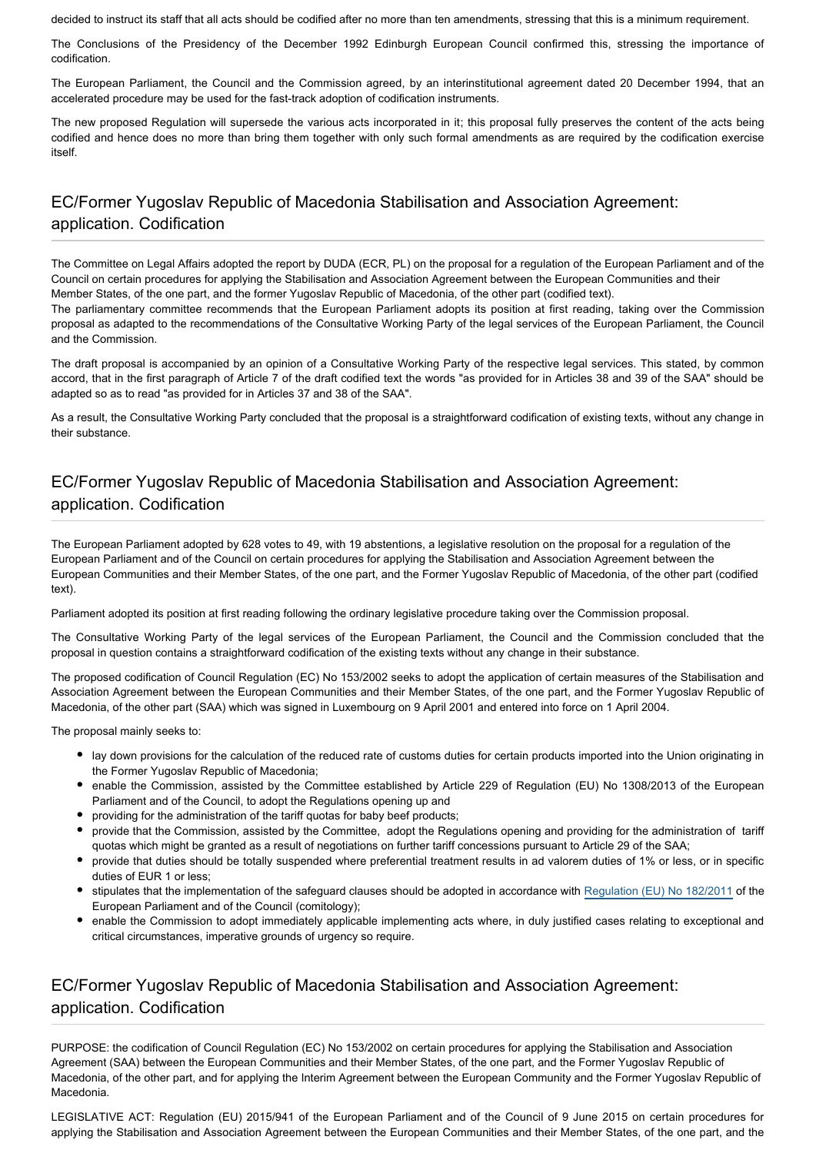decided to instruct its staff that all acts should be codified after no more than ten amendments, stressing that this is a minimum requirement.

The Conclusions of the Presidency of the December 1992 Edinburgh European Council confirmed this, stressing the importance of codification.

The European Parliament, the Council and the Commission agreed, by an interinstitutional agreement dated 20 December 1994, that an accelerated procedure may be used for the fast-track adoption of codification instruments.

The new proposed Regulation will supersede the various acts incorporated in it; this proposal fully preserves the content of the acts being codified and hence does no more than bring them together with only such formal amendments as are required by the codification exercise itself.

## EC/Former Yugoslav Republic of Macedonia Stabilisation and Association Agreement: application. Codification

The Committee on Legal Affairs adopted the report by DUDA (ECR, PL) on the proposal for a regulation of the European Parliament and of the Council on certain procedures for applying the Stabilisation and Association Agreement between the European Communities and their Member States, of the one part, and the former Yugoslav Republic of Macedonia, of the other part (codified text).

The parliamentary committee recommends that the European Parliament adopts its position at first reading, taking over the Commission proposal as adapted to the recommendations of the Consultative Working Party of the legal services of the European Parliament, the Council and the Commission.

The draft proposal is accompanied by an opinion of a Consultative Working Party of the respective legal services. This stated, by common accord, that in the first paragraph of Article 7 of the draft codified text the words "as provided for in Articles 38 and 39 of the SAA" should be adapted so as to read "as provided for in Articles 37 and 38 of the SAA".

As a result, the Consultative Working Party concluded that the proposal is a straightforward codification of existing texts, without any change in their substance.

## EC/Former Yugoslav Republic of Macedonia Stabilisation and Association Agreement: application. Codification

The European Parliament adopted by 628 votes to 49, with 19 abstentions, a legislative resolution on the proposal for a regulation of the European Parliament and of the Council on certain procedures for applying the Stabilisation and Association Agreement between the European Communities and their Member States, of the one part, and the Former Yugoslav Republic of Macedonia, of the other part (codified text).

Parliament adopted its position at first reading following the ordinary legislative procedure taking over the Commission proposal.

The Consultative Working Party of the legal services of the European Parliament, the Council and the Commission concluded that the proposal in question contains a straightforward codification of the existing texts without any change in their substance.

The proposed codification of Council Regulation (EC) No 153/2002 seeks to adopt the application of certain measures of the Stabilisation and Association Agreement between the European Communities and their Member States, of the one part, and the Former Yugoslav Republic of Macedonia, of the other part (SAA) which was signed in Luxembourg on 9 April 2001 and entered into force on 1 April 2004.

The proposal mainly seeks to:

- lay down provisions for the calculation of the reduced rate of customs duties for certain products imported into the Union originating in the Former Yugoslav Republic of Macedonia;
- enable the Commission, assisted by the Committee established by Article 229 of Regulation (EU) No 1308/2013 of the European Parliament and of the Council, to adopt the Regulations opening up and
- providing for the administration of the tariff quotas for baby beef products;
- provide that the Commission, assisted by the Committee, adopt the Regulations opening and providing for the administration of tariff quotas which might be granted as a result of negotiations on further tariff concessions pursuant to Article 29 of the SAA;
- provide that duties should be totally suspended where preferential treatment results in ad valorem duties of 1% or less, or in specific duties of EUR 1 or less;
- stipulates that the implementation of the safeguard clauses should be adopted in accordance with [Regulation \(EU\) No 182/2011](http://www.europarl.europa.eu/oeil/popups/ficheprocedure.do?reference=2010/0051(COD)&l=en) of the European Parliament and of the Council (comitology);
- enable the Commission to adopt immediately applicable implementing acts where, in duly justified cases relating to exceptional and critical circumstances, imperative grounds of urgency so require.

### EC/Former Yugoslav Republic of Macedonia Stabilisation and Association Agreement: application. Codification

PURPOSE: the codification of Council Regulation (EC) No 153/2002 on certain procedures for applying the Stabilisation and Association Agreement (SAA) between the European Communities and their Member States, of the one part, and the Former Yugoslav Republic of Macedonia, of the other part, and for applying the Interim Agreement between the European Community and the Former Yugoslav Republic of Macedonia.

LEGISLATIVE ACT: Regulation (EU) 2015/941 of the European Parliament and of the Council of 9 June 2015 on certain procedures for applying the Stabilisation and Association Agreement between the European Communities and their Member States, of the one part, and the